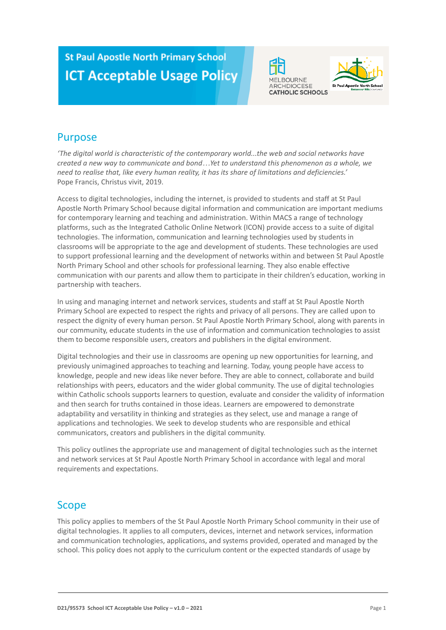# **St Paul Apostle North Primary School ICT Acceptable Usage Policy**





## Purpose

*'The digital world is characteristic of the contemporary world...the web and social networks have created a new way to communicate and bond…Yet to understand this phenomenon as a whole, we need to realise that, like every human reality, it has its share of limitations and deficiencies.'* Pope Francis, Christus vivit, 2019.

Access to digital technologies, including the internet, is provided to students and staff at St Paul Apostle North Primary School because digital information and communication are important mediums for contemporary learning and teaching and administration. Within MACS a range of technology platforms, such as the Integrated Catholic Online Network (ICON) provide access to a suite of digital technologies. The information, communication and learning technologies used by students in classrooms will be appropriate to the age and development of students. These technologies are used to support professional learning and the development of networks within and between St Paul Apostle North Primary School and other schools for professional learning. They also enable effective communication with our parents and allow them to participate in their children's education, working in partnership with teachers.

In using and managing internet and network services, students and staff at St Paul Apostle North Primary School are expected to respect the rights and privacy of all persons. They are called upon to respect the dignity of every human person. St Paul Apostle North Primary School, along with parents in our community, educate students in the use of information and communication technologies to assist them to become responsible users, creators and publishers in the digital environment.

Digital technologies and their use in classrooms are opening up new opportunities for learning, and previously unimagined approaches to teaching and learning. Today, young people have access to knowledge, people and new ideas like never before. They are able to connect, collaborate and build relationships with peers, educators and the wider global community. The use of digital technologies within Catholic schools supports learners to question, evaluate and consider the validity of information and then search for truths contained in those ideas. Learners are empowered to demonstrate adaptability and versatility in thinking and strategies as they select, use and manage a range of applications and technologies. We seek to develop students who are responsible and ethical communicators, creators and publishers in the digital community.

This policy outlines the appropriate use and management of digital technologies such as the internet and network services at St Paul Apostle North Primary School in accordance with legal and moral requirements and expectations.

## Scope

This policy applies to members of the St Paul Apostle North Primary School community in their use of digital technologies. It applies to all computers, devices, internet and network services, information and communication technologies, applications, and systems provided, operated and managed by the school. This policy does not apply to the curriculum content or the expected standards of usage by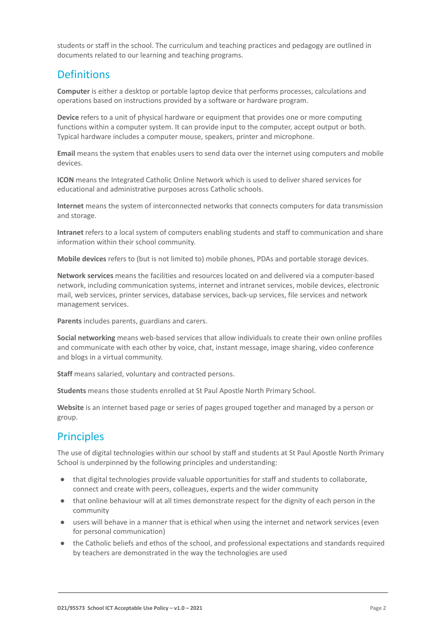students or staff in the school. The curriculum and teaching practices and pedagogy are outlined in documents related to our learning and teaching programs.

## **Definitions**

**Computer** is either a desktop or portable laptop device that performs processes, calculations and operations based on instructions provided by a software or hardware program.

**Device** refers to a unit of physical hardware or equipment that provides one or more computing functions within a computer system. It can provide input to the computer, accept output or both. Typical hardware includes a computer mouse, speakers, printer and microphone.

**Email** means the system that enables users to send data over the internet using computers and mobile devices.

**ICON** means the Integrated Catholic Online Network which is used to deliver shared services for educational and administrative purposes across Catholic schools.

**Internet** means the system of interconnected networks that connects computers for data transmission and storage.

**Intranet** refers to a local system of computers enabling students and staff to communication and share information within their school community.

**Mobile devices** refers to (but is not limited to) mobile phones, PDAs and portable storage devices.

**Network services** means the facilities and resources located on and delivered via a computer-based network, including communication systems, internet and intranet services, mobile devices, electronic mail, web services, printer services, database services, back-up services, file services and network management services.

**Parents** includes parents, guardians and carers.

**Social networking** means web-based services that allow individuals to create their own online profiles and communicate with each other by voice, chat, instant message, image sharing, video conference and blogs in a virtual community.

**Staff** means salaried, voluntary and contracted persons.

**Students** means those students enrolled at St Paul Apostle North Primary School.

**Website** is an internet based page or series of pages grouped together and managed by a person or group.

## **Principles**

The use of digital technologies within our school by staff and students at St Paul Apostle North Primary School is underpinned by the following principles and understanding:

- that digital technologies provide valuable opportunities for staff and students to collaborate, connect and create with peers, colleagues, experts and the wider community
- that online behaviour will at all times demonstrate respect for the dignity of each person in the community
- users will behave in a manner that is ethical when using the internet and network services (even for personal communication)
- the Catholic beliefs and ethos of the school, and professional expectations and standards required by teachers are demonstrated in the way the technologies are used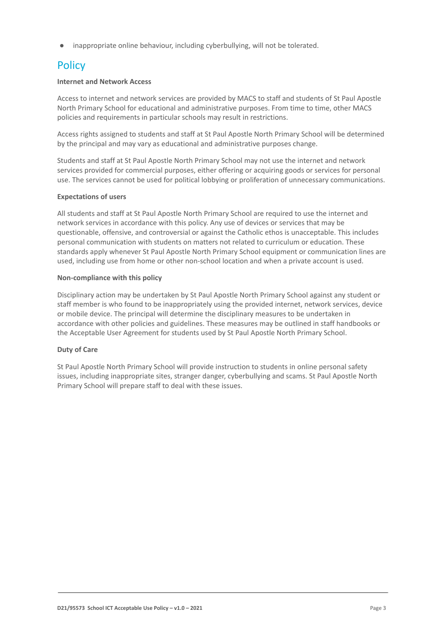inappropriate online behaviour, including cyberbullying, will not be tolerated.

## **Policy**

## **Internet and Network Access**

Access to internet and network services are provided by MACS to staff and students of St Paul Apostle North Primary School for educational and administrative purposes. From time to time, other MACS policies and requirements in particular schools may result in restrictions.

Access rights assigned to students and staff at St Paul Apostle North Primary School will be determined by the principal and may vary as educational and administrative purposes change.

Students and staff at St Paul Apostle North Primary School may not use the internet and network services provided for commercial purposes, either offering or acquiring goods or services for personal use. The services cannot be used for political lobbying or proliferation of unnecessary communications.

## **Expectations of users**

All students and staff at St Paul Apostle North Primary School are required to use the internet and network services in accordance with this policy. Any use of devices or services that may be questionable, offensive, and controversial or against the Catholic ethos is unacceptable. This includes personal communication with students on matters not related to curriculum or education. These standards apply whenever St Paul Apostle North Primary School equipment or communication lines are used, including use from home or other non-school location and when a private account is used.

## **Non-compliance with this policy**

Disciplinary action may be undertaken by St Paul Apostle North Primary School against any student or staff member is who found to be inappropriately using the provided internet, network services, device or mobile device. The principal will determine the disciplinary measures to be undertaken in accordance with other policies and guidelines. These measures may be outlined in staff handbooks or the Acceptable User Agreement for students used by St Paul Apostle North Primary School.

## **Duty of Care**

St Paul Apostle North Primary School will provide instruction to students in online personal safety issues, including inappropriate sites, stranger danger, cyberbullying and scams. St Paul Apostle North Primary School will prepare staff to deal with these issues.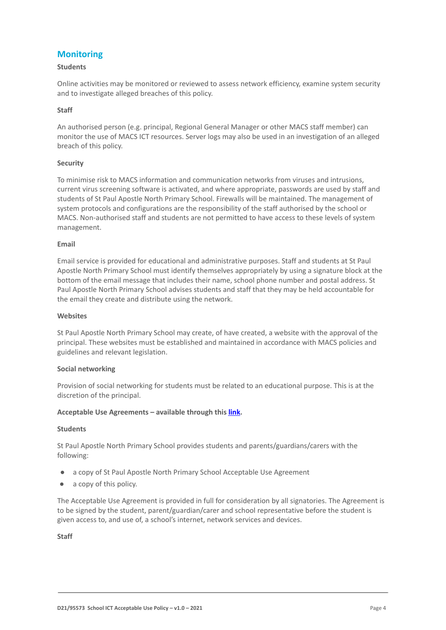## **Monitoring**

## **Students**

Online activities may be monitored or reviewed to assess network efficiency, examine system security and to investigate alleged breaches of this policy.

## **Staff**

An authorised person (e.g. principal, Regional General Manager or other MACS staff member) can monitor the use of MACS ICT resources. Server logs may also be used in an investigation of an alleged breach of this policy.

## **Security**

To minimise risk to MACS information and communication networks from viruses and intrusions, current virus screening software is activated, and where appropriate, passwords are used by staff and students of St Paul Apostle North Primary School. Firewalls will be maintained. The management of system protocols and configurations are the responsibility of the staff authorised by the school or MACS. Non-authorised staff and students are not permitted to have access to these levels of system management.

### **Email**

Email service is provided for educational and administrative purposes. Staff and students at St Paul Apostle North Primary School must identify themselves appropriately by using a signature block at the bottom of the email message that includes their name, school phone number and postal address. St Paul Apostle North Primary School advises students and staff that they may be held accountable for the email they create and distribute using the network.

### **Websites**

St Paul Apostle North Primary School may create, of have created, a website with the approval of the principal. These websites must be established and maintained in accordance with MACS policies and guidelines and relevant legislation.

### **Social networking**

Provision of social networking for students must be related to an educational purpose. This is at the discretion of the principal.

### **Acceptable Use Agreements – available through this [link](https://docs.google.com/document/d/1dbnvTLfU4t2wYEbJdn0jATigi5oZYfkaHJehJJ19NAY/edit).**

### **Students**

St Paul Apostle North Primary School provides students and parents/guardians/carers with the following:

- a copy of St Paul Apostle North Primary School Acceptable Use Agreement
- a copy of this policy.

The Acceptable Use Agreement is provided in full for consideration by all signatories. The Agreement is to be signed by the student, parent/guardian/carer and school representative before the student is given access to, and use of, a school's internet, network services and devices.

**Staff**